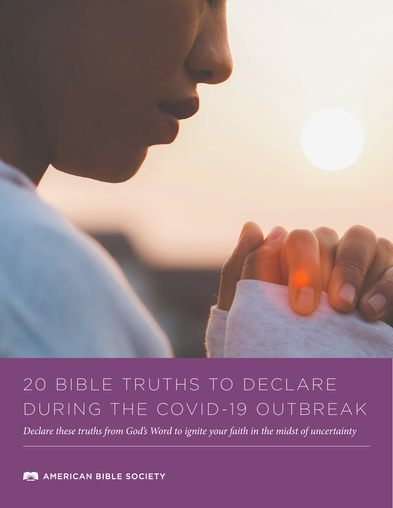

# 20 BIBLE TRUTHS TO DECLARE DURING THE COVID-19 OUTBREAK

*Declare these truths from God's Word to ignite your faith in the midst of uncertainty*

**AMERICAN BIBLE SOCIETY** 

l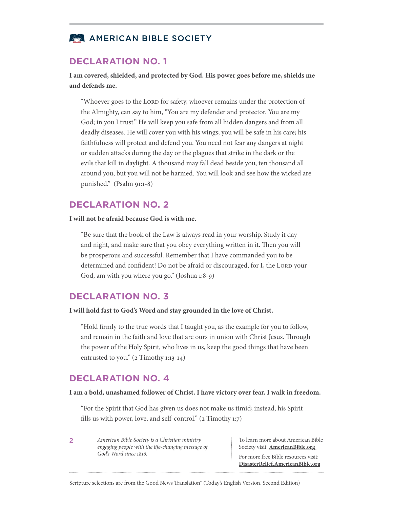# **NE AMERICAN BIBLE SOCIETY**

### **DECLARATION NO. 1**

**I am covered, shielded, and protected by God. His power goes before me, shields me and defends me.** 

"Whoever goes to the LORD for safety, whoever remains under the protection of the Almighty, can say to him, "You are my defender and protector. You are my God; in you I trust." He will keep you safe from all hidden dangers and from all deadly diseases. He will cover you with his wings; you will be safe in his care; his faithfulness will protect and defend you. You need not fear any dangers at night or sudden attacks during the day or the plagues that strike in the dark or the evils that kill in daylight. A thousand may fall dead beside you, ten thousand all around you, but you will not be harmed. You will look and see how the wicked are punished." (Psalm 91:1-8)

## **DECLARATION NO. 2**

**I will not be afraid because God is with me.**

"Be sure that the book of the Law is always read in your worship. Study it day and night, and make sure that you obey everything written in it. Then you will be prosperous and successful. Remember that I have commanded you to be determined and confident! Do not be afraid or discouraged, for I, the LORD your God, am with you where you go." (Joshua 1:8-9)

## **DECLARATION NO. 3**

**I will hold fast to God's Word and stay grounded in the love of Christ.**

"Hold firmly to the true words that I taught you, as the example for you to follow, and remain in the faith and love that are ours in union with Christ Jesus. Through the power of the Holy Spirit, who lives in us, keep the good things that have been entrusted to you." (2 Timothy 1:13-14)

## **DECLARATION NO. 4**

2

#### **I am a bold, unashamed follower of Christ. I have victory over fear. I walk in freedom.**

"For the Spirit that God has given us does not make us timid; instead, his Spirit fills us with power, love, and self-control."  $(2$  Timothy 1:7)

*American Bible Society is a Christian ministry engaging people with the life-changing message of God's Word since 1816.*

To learn more about American Bible Society visit: **[AmericanBible.org](https://www.americanbible.org/)**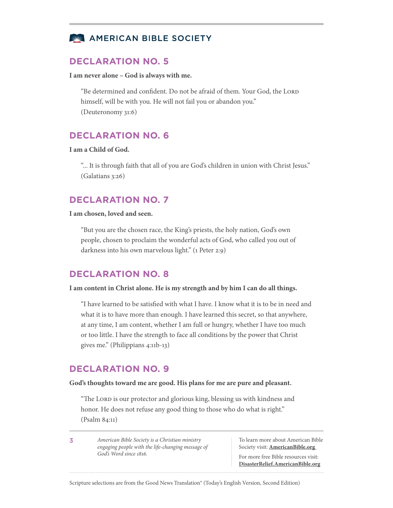

**I am never alone – God is always with me.** 

"Be determined and confident. Do not be afraid of them. Your God, the LORD himself, will be with you. He will not fail you or abandon you." (Deuteronomy 31:6)

# **DECLARATION NO. 6**

#### **I am a Child of God.**

"... It is through faith that all of you are God's children in union with Christ Jesus." (Galatians 3:26)

# **DECLARATION NO. 7**

#### **I am chosen, loved and seen.**

"But you are the chosen race, the King's priests, the holy nation, God's own people, chosen to proclaim the wonderful acts of God, who called you out of darkness into his own marvelous light." (1 Peter 2:9)

## **DECLARATION NO. 8**

#### **I am content in Christ alone. He is my strength and by him I can do all things.**

"I have learned to be satisfied with what I have. I know what it is to be in need and what it is to have more than enough. I have learned this secret, so that anywhere, at any time, I am content, whether I am full or hungry, whether I have too much or too little. I have the strength to face all conditions by the power that Christ gives me." (Philippians 4:11b-13)

## **DECLARATION NO. 9**

#### **God's thoughts toward me are good. His plans for me are pure and pleasant.**

"The LORD is our protector and glorious king, blessing us with kindness and honor. He does not refuse any good thing to those who do what is right." (Psalm 84:11)

3

*American Bible Society is a Christian ministry engaging people with the life-changing message of God's Word since 1816.*

To learn more about American Bible Society visit: **[AmericanBible.org](https://www.americanbible.org/)**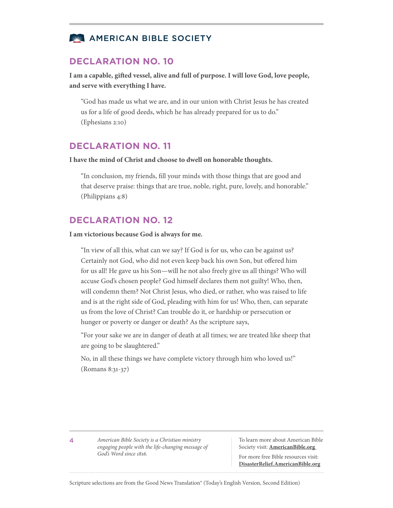

**I am a capable, gifted vessel, alive and full of purpose. I will love God, love people, and serve with everything I have.** 

"God has made us what we are, and in our union with Christ Jesus he has created us for a life of good deeds, which he has already prepared for us to do." (Ephesians 2:10)

# **DECLARATION NO. 11**

#### **I have the mind of Christ and choose to dwell on honorable thoughts.**

"In conclusion, my friends, fill your minds with those things that are good and that deserve praise: things that are true, noble, right, pure, lovely, and honorable." (Philippians 4:8)

# **DECLARATION NO. 12**

#### **I am victorious because God is always for me.**

"In view of all this, what can we say? If God is for us, who can be against us? Certainly not God, who did not even keep back his own Son, but offered him for us all! He gave us his Son—will he not also freely give us all things? Who will accuse God's chosen people? God himself declares them not guilty! Who, then, will condemn them? Not Christ Jesus, who died, or rather, who was raised to life and is at the right side of God, pleading with him for us! Who, then, can separate us from the love of Christ? Can trouble do it, or hardship or persecution or hunger or poverty or danger or death? As the scripture says,

"For your sake we are in danger of death at all times; we are treated like sheep that are going to be slaughtered."

No, in all these things we have complete victory through him who loved us!" (Romans 8:31-37)

4

*American Bible Society is a Christian ministry engaging people with the life-changing message of God's Word since 1816.*

To learn more about American Bible Society visit: **[AmericanBible.org](https://www.americanbible.org/)**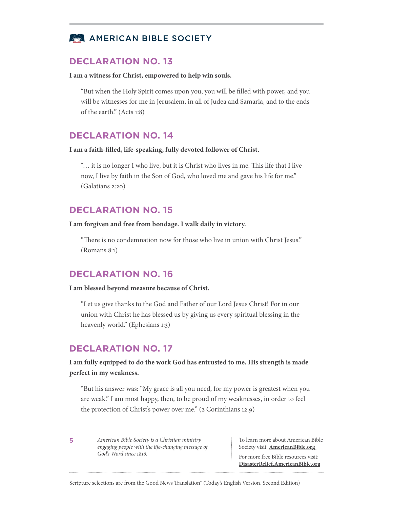

**I am a witness for Christ, empowered to help win souls.** 

"But when the Holy Spirit comes upon you, you will be filled with power, and you will be witnesses for me in Jerusalem, in all of Judea and Samaria, and to the ends of the earth." (Acts 1:8)

## **DECLARATION NO. 14**

**I am a faith-filled, life-speaking, fully devoted follower of Christ.** 

"… it is no longer I who live, but it is Christ who lives in me. This life that I live now, I live by faith in the Son of God, who loved me and gave his life for me." (Galatians 2:20)

# **DECLARATION NO. 15**

**I am forgiven and free from bondage. I walk daily in victory.** 

"There is no condemnation now for those who live in union with Christ Jesus." (Romans 8:1)

# **DECLARATION NO. 16**

**I am blessed beyond measure because of Christ.** 

"Let us give thanks to the God and Father of our Lord Jesus Christ! For in our union with Christ he has blessed us by giving us every spiritual blessing in the heavenly world." (Ephesians 1:3)

# **DECLARATION NO. 17**

**I am fully equipped to do the work God has entrusted to me. His strength is made perfect in my weakness.** 

"But his answer was: "My grace is all you need, for my power is greatest when you are weak." I am most happy, then, to be proud of my weaknesses, in order to feel the protection of Christ's power over me." (2 Corinthians 12:9)

5

*American Bible Society is a Christian ministry engaging people with the life-changing message of God's Word since 1816.*

To learn more about American Bible Society visit: **[AmericanBible.org](https://www.americanbible.org/)**